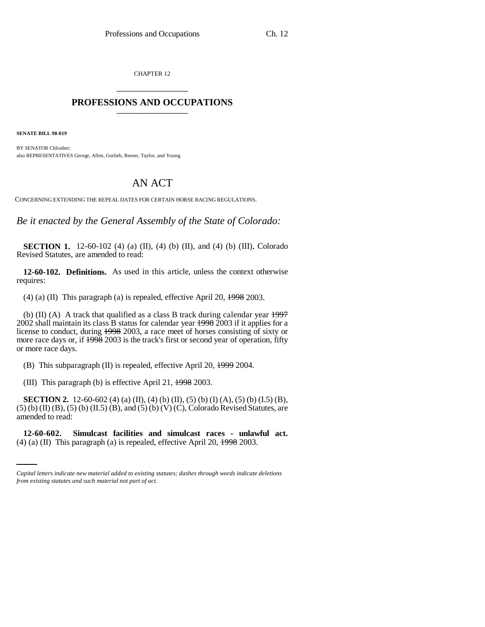CHAPTER 12 \_\_\_\_\_\_\_\_\_\_\_\_\_\_\_

## **PROFESSIONS AND OCCUPATIONS** \_\_\_\_\_\_\_\_\_\_\_\_\_\_\_

**SENATE BILL 98-019**

BY SENATOR Chlouber; also REPRESENTATIVES George, Allen, Gotlieb, Reeser, Taylor, and Young.

## AN ACT

CONCERNING EXTENDING THE REPEAL DATES FOR CERTAIN HORSE RACING REGULATIONS.

*Be it enacted by the General Assembly of the State of Colorado:*

**SECTION 1.** 12-60-102 (4) (a) (II), (4) (b) (II), and (4) (b) (III), Colorado Revised Statutes, are amended to read:

**12-60-102. Definitions.** As used in this article, unless the context otherwise requires:

(4) (a) (II) This paragraph (a) is repealed, effective April 20,  $\frac{1998}{2003}$ .

(b) (II) (A) A track that qualified as a class B track during calendar year  $\frac{1997}{2}$ 2002 shall maintain its class B status for calendar year 1998 2003 if it applies for a license to conduct, during 1998 2003, a race meet of horses consisting of sixty or more race days or, if  $\frac{1998}{2003}$  is the track's first or second year of operation, fifty or more race days.

(B) This subparagraph (II) is repealed, effective April 20, 1999 2004.

(III) This paragraph (b) is effective April 21, 1998 2003.

**SECTION 2.** 12-60-602 (4) (a) (II), (4) (b) (II), (5) (b) (I) (A), (5) (b) (I.5) (B), (5) (b) (II) (B), (5) (b) (II.5) (B), and (5) (b) (V) (C), Colorado Revised Statutes, are amended to read:

**12-60-602. Simulcast facilities and simulcast races - unlawful act.** (4) (a) (II) This paragraph (a) is repealed, effective April 20, 1998 2003.

*Capital letters indicate new material added to existing statutes; dashes through words indicate deletions from existing statutes and such material not part of act.*